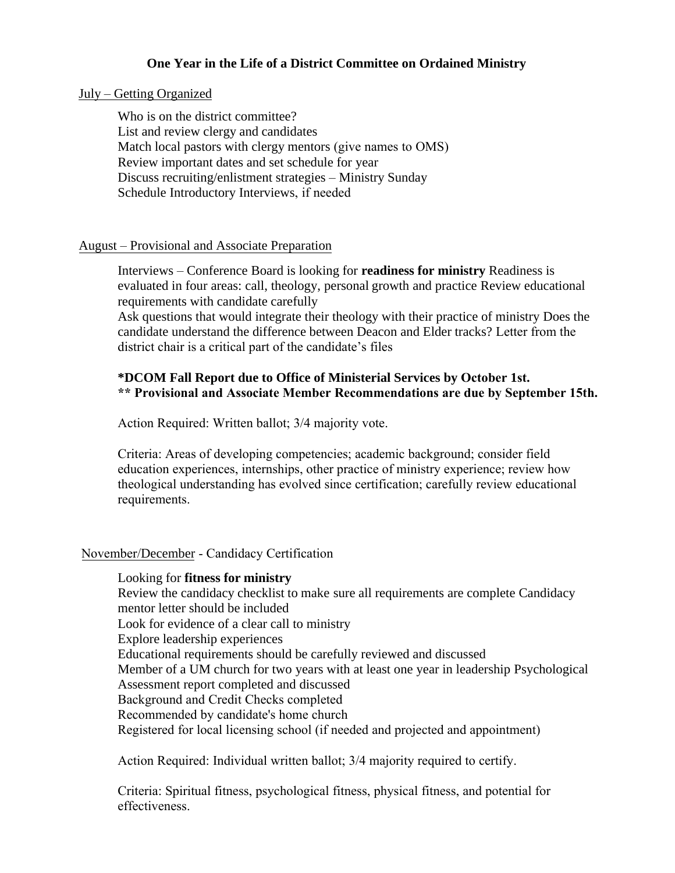## **One Year in the Life of a District Committee on Ordained Ministry**

#### July – Getting Organized

Who is on the district committee? List and review clergy and candidates Match local pastors with clergy mentors (give names to OMS) Review important dates and set schedule for year Discuss recruiting/enlistment strategies – Ministry Sunday Schedule Introductory Interviews, if needed

#### August – Provisional and Associate Preparation

Interviews – Conference Board is looking for **readiness for ministry** Readiness is evaluated in four areas: call, theology, personal growth and practice Review educational requirements with candidate carefully

Ask questions that would integrate their theology with their practice of ministry Does the candidate understand the difference between Deacon and Elder tracks? Letter from the district chair is a critical part of the candidate's files

## **\*DCOM Fall Report due to Office of Ministerial Services by October 1st. \*\* Provisional and Associate Member Recommendations are due by September 15th.**

Action Required: Written ballot; 3/4 majority vote.

Criteria: Areas of developing competencies; academic background; consider field education experiences, internships, other practice of ministry experience; review how theological understanding has evolved since certification; carefully review educational requirements.

### November/December - Candidacy Certification

Looking for **fitness for ministry**  Review the candidacy checklist to make sure all requirements are complete Candidacy mentor letter should be included Look for evidence of a clear call to ministry Explore leadership experiences Educational requirements should be carefully reviewed and discussed Member of a UM church for two years with at least one year in leadership Psychological Assessment report completed and discussed Background and Credit Checks completed Recommended by candidate's home church Registered for local licensing school (if needed and projected and appointment)

Action Required: Individual written ballot; 3/4 majority required to certify.

Criteria: Spiritual fitness, psychological fitness, physical fitness, and potential for effectiveness.